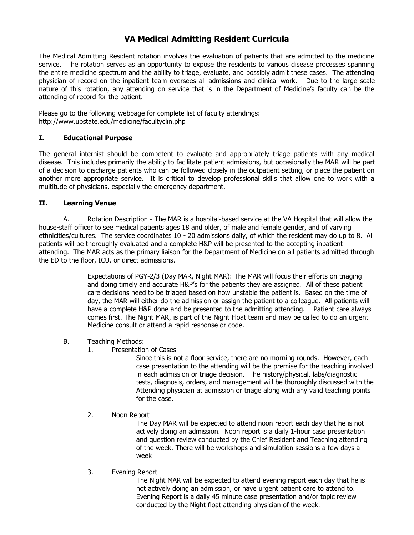#### **VA Medical Admitting Resident Curricula**

The Medical Admitting Resident rotation involves the evaluation of patients that are admitted to the medicine service. The rotation serves as an opportunity to expose the residents to various disease processes spanning the entire medicine spectrum and the ability to triage, evaluate, and possibly admit these cases. The attending physician of record on the inpatient team oversees all admissions and clinical work. Due to the large-scale nature of this rotation, any attending on service that is in the Department of Medicine's faculty can be the attending of record for the patient.

Please go to the following webpage for complete list of faculty attendings: http://www.upstate.edu/medicine/facultyclin.php

#### **I. Educational Purpose**

The general internist should be competent to evaluate and appropriately triage patients with any medical disease. This includes primarily the ability to facilitate patient admissions, but occasionally the MAR will be part of a decision to discharge patients who can be followed closely in the outpatient setting, or place the patient on another more appropriate service. It is critical to develop professional skills that allow one to work with a multitude of physicians, especially the emergency department.

#### **II. Learning Venue**

A. Rotation Description - The MAR is a hospital-based service at the VA Hospital that will allow the house-staff officer to see medical patients ages 18 and older, of male and female gender, and of varying ethnicities/cultures. The service coordinates 10 - 20 admissions daily, of which the resident may do up to 8. All patients will be thoroughly evaluated and a complete H&P will be presented to the accepting inpatient attending. The MAR acts as the primary liaison for the Department of Medicine on all patients admitted through the ED to the floor, ICU, or direct admissions.

> Expectations of PGY-2/3 (Day MAR, Night MAR): The MAR will focus their efforts on triaging and doing timely and accurate H&P's for the patients they are assigned. All of these patient care decisions need to be triaged based on how unstable the patient is. Based on the time of day, the MAR will either do the admission or assign the patient to a colleague. All patients will have a complete H&P done and be presented to the admitting attending. Patient care always comes first. The Night MAR, is part of the Night Float team and may be called to do an urgent Medicine consult or attend a rapid response or code.

- B. Teaching Methods:
	- 1. Presentation of Cases

Since this is not a floor service, there are no morning rounds. However, each case presentation to the attending will be the premise for the teaching involved in each admission or triage decision. The history/physical, labs/diagnostic tests, diagnosis, orders, and management will be thoroughly discussed with the Attending physician at admission or triage along with any valid teaching points for the case.

2. Noon Report

The Day MAR will be expected to attend noon report each day that he is not actively doing an admission. Noon report is a daily 1-hour case presentation and question review conducted by the Chief Resident and Teaching attending of the week. There will be workshops and simulation sessions a few days a week

3. Evening Report

The Night MAR will be expected to attend evening report each day that he is not actively doing an admission, or have urgent patient care to attend to. Evening Report is a daily 45 minute case presentation and/or topic review conducted by the Night float attending physician of the week.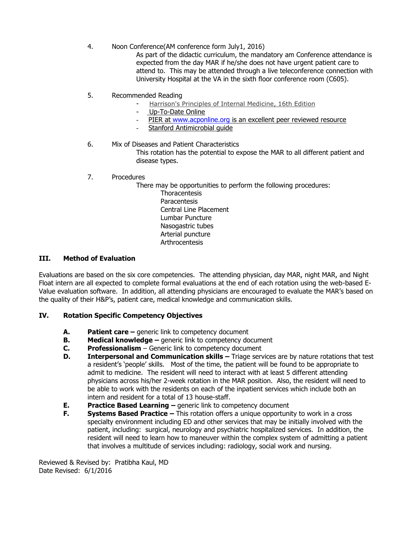#### 4. Noon Conference(AM conference form July1, 2016)

As part of the didactic curriculum, the mandatory am Conference attendance is expected from the day MAR if he/she does not have urgent patient care to attend to. This may be attended through a live teleconference connection with University Hospital at the VA in the sixth floor conference room (C605).

- 5. Recommended Reading
	- Harrison's Principles of Internal Medicine, 16th Edition
	- Up-To-Date Online
	- PIER at [www.acponline.org](http://www.acponline.org/) is an excellent peer reviewed resource
	- Stanford Antimicrobial quide
- 6. Mix of Diseases and Patient Characteristics

This rotation has the potential to expose the MAR to all different patient and disease types.

7. Procedures

There may be opportunities to perform the following procedures:

**Thoracentesis** Paracentesis Central Line Placement Lumbar Puncture Nasogastric tubes Arterial puncture Arthrocentesis

#### **III. Method of Evaluation**

Evaluations are based on the six core competencies. The attending physician, day MAR, night MAR, and Night Float intern are all expected to complete formal evaluations at the end of each rotation using the web-based E-Value evaluation software. In addition, all attending physicians are encouraged to evaluate the MAR's based on the quality of their H&P's, patient care, medical knowledge and communication skills.

#### **IV. Rotation Specific Competency Objectives**

- **A. Patient care –** generic link to competency document
- **B. Medical knowledge –** generic link to competency document
- **C. Professionalism**  Generic link to competency document
- **D.** Interpersonal and Communication skills Triage services are by nature rotations that test a resident's 'people' skills. Most of the time, the patient will be found to be appropriate to admit to medicine. The resident will need to interact with at least 5 different attending physicians across his/her 2-week rotation in the MAR position. Also, the resident will need to be able to work with the residents on each of the inpatient services which include both an intern and resident for a total of 13 house-staff.
- **E. Practice Based Learning –** generic link to competency document
- **F. Systems Based Practice –** This rotation offers a unique opportunity to work in a cross specialty environment including ED and other services that may be initially involved with the patient, including: surgical, neurology and psychiatric hospitalized services. In addition, the resident will need to learn how to maneuver within the complex system of admitting a patient that involves a multitude of services including: radiology, social work and nursing.

Reviewed & Revised by: Pratibha Kaul, MD Date Revised: 6/1/2016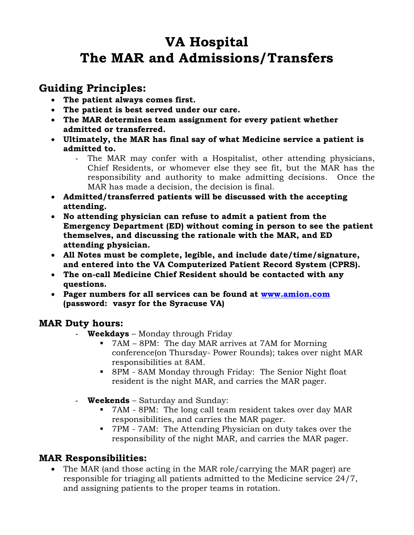# **VA Hospital The MAR and Admissions/Transfers**

## **Guiding Principles:**

- **The patient always comes first.**
- **The patient is best served under our care.**
- **The MAR determines team assignment for every patient whether admitted or transferred.**
- **Ultimately, the MAR has final say of what Medicine service a patient is admitted to.**
	- The MAR may confer with a Hospitalist, other attending physicians, Chief Residents, or whomever else they see fit, but the MAR has the responsibility and authority to make admitting decisions. Once the MAR has made a decision, the decision is final.
- **Admitted/transferred patients will be discussed with the accepting attending.**
- **No attending physician can refuse to admit a patient from the Emergency Department (ED) without coming in person to see the patient themselves, and discussing the rationale with the MAR, and ED attending physician.**
- **All Notes must be complete, legible, and include date/time/signature, and entered into the VA Computerized Patient Record System (CPRS).**
- **The on-call Medicine Chief Resident should be contacted with any questions.**
- **Pager numbers for all services can be found at [www.amion.com](http://www.amion.com/) (password: vasyr for the Syracuse VA)**

### **MAR Duty hours:**

- **Weekdays** Monday through Friday
	- 7AM 8PM: The day MAR arrives at 7AM for Morning conference(on Thursday- Power Rounds); takes over night MAR responsibilities at 8AM.
	- 8PM 8AM Monday through Friday: The Senior Night float resident is the night MAR, and carries the MAR pager.
- **Weekends** Saturday and Sunday:
	- 7AM 8PM: The long call team resident takes over day MAR responsibilities, and carries the MAR pager.
	- 7PM 7AM: The Attending Physician on duty takes over the responsibility of the night MAR, and carries the MAR pager.

### **MAR Responsibilities:**

 The MAR (and those acting in the MAR role/carrying the MAR pager) are responsible for triaging all patients admitted to the Medicine service 24/7, and assigning patients to the proper teams in rotation.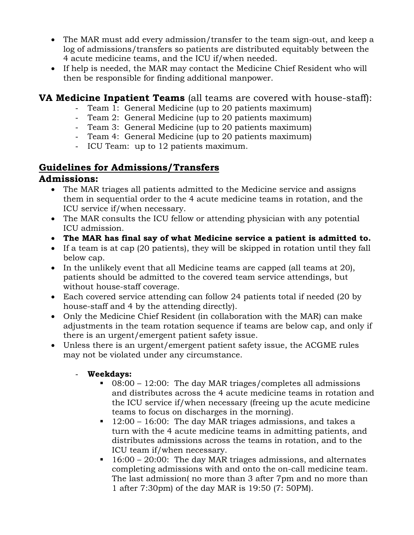- The MAR must add every admission/transfer to the team sign-out, and keep a log of admissions/transfers so patients are distributed equitably between the 4 acute medicine teams, and the ICU if/when needed.
- If help is needed, the MAR may contact the Medicine Chief Resident who will then be responsible for finding additional manpower.

### **VA Medicine Inpatient Teams** (all teams are covered with house-staff):

- Team 1: General Medicine (up to 20 patients maximum)
- Team 2: General Medicine (up to 20 patients maximum)
- Team 3: General Medicine (up to 20 patients maximum)
- Team 4: General Medicine (up to 20 patients maximum)
- ICU Team: up to 12 patients maximum.

### **Guidelines for Admissions/Transfers**

### **Admissions:**

- The MAR triages all patients admitted to the Medicine service and assigns them in sequential order to the 4 acute medicine teams in rotation, and the ICU service if/when necessary.
- The MAR consults the ICU fellow or attending physician with any potential ICU admission.
- **The MAR has final say of what Medicine service a patient is admitted to.**
- If a team is at cap (20 patients), they will be skipped in rotation until they fall below cap.
- In the unlikely event that all Medicine teams are capped (all teams at 20), patients should be admitted to the covered team service attendings, but without house-staff coverage.
- Each covered service attending can follow 24 patients total if needed (20 by house-staff and 4 by the attending directly).
- Only the Medicine Chief Resident (in collaboration with the MAR) can make adjustments in the team rotation sequence if teams are below cap, and only if there is an urgent/emergent patient safety issue.
- Unless there is an urgent/emergent patient safety issue, the ACGME rules may not be violated under any circumstance.
	- **Weekdays:**
		- 08:00 12:00: The day MAR triages/completes all admissions and distributes across the 4 acute medicine teams in rotation and the ICU service if/when necessary (freeing up the acute medicine teams to focus on discharges in the morning).
		- 12:00 16:00: The day MAR triages admissions, and takes a turn with the 4 acute medicine teams in admitting patients, and distributes admissions across the teams in rotation, and to the ICU team if/when necessary.
		- $\blacksquare$  16:00 20:00: The day MAR triages admissions, and alternates completing admissions with and onto the on-call medicine team. The last admission( no more than 3 after 7pm and no more than 1 after 7:30pm) of the day MAR is 19:50 (7: 50PM).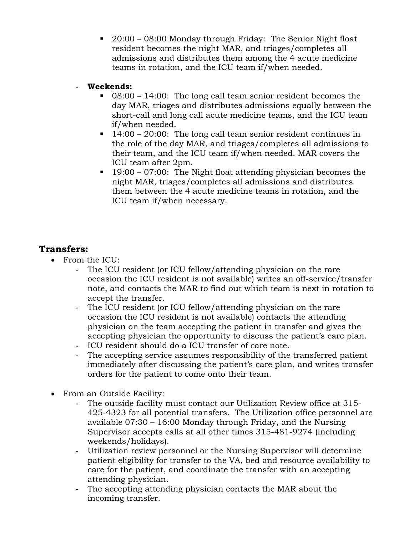- 20:00 08:00 Monday through Friday: The Senior Night float resident becomes the night MAR, and triages/completes all admissions and distributes them among the 4 acute medicine teams in rotation, and the ICU team if/when needed.
- **Weekends:**
	- 08:00 14:00: The long call team senior resident becomes the day MAR, triages and distributes admissions equally between the short-call and long call acute medicine teams, and the ICU team if/when needed.
	- $14:00 20:00$ : The long call team senior resident continues in the role of the day MAR, and triages/completes all admissions to their team, and the ICU team if/when needed. MAR covers the ICU team after 2pm.
	- $19:00 07:00$ : The Night float attending physician becomes the night MAR, triages/completes all admissions and distributes them between the 4 acute medicine teams in rotation, and the ICU team if/when necessary.

### **Transfers:**

- From the ICU:
	- The ICU resident (or ICU fellow/attending physician on the rare occasion the ICU resident is not available) writes an off-service/transfer note, and contacts the MAR to find out which team is next in rotation to accept the transfer.
	- The ICU resident (or ICU fellow/attending physician on the rare occasion the ICU resident is not available) contacts the attending physician on the team accepting the patient in transfer and gives the accepting physician the opportunity to discuss the patient's care plan. ICU resident should do a ICU transfer of care note.
	- The accepting service assumes responsibility of the transferred patient immediately after discussing the patient's care plan, and writes transfer orders for the patient to come onto their team.
- From an Outside Facility:
	- The outside facility must contact our Utilization Review office at 315- 425-4323 for all potential transfers. The Utilization office personnel are available 07:30 – 16:00 Monday through Friday, and the Nursing Supervisor accepts calls at all other times 315-481-9274 (including weekends/holidays).
	- Utilization review personnel or the Nursing Supervisor will determine patient eligibility for transfer to the VA, bed and resource availability to care for the patient, and coordinate the transfer with an accepting attending physician.
	- The accepting attending physician contacts the MAR about the incoming transfer.